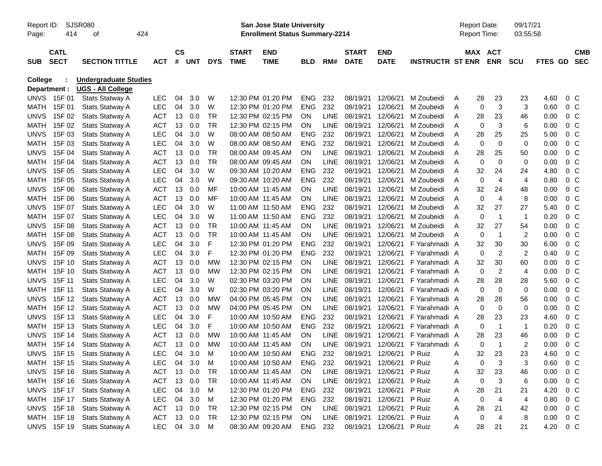| <b>SJSR080</b><br>Report ID:<br>414<br>424<br>Page:<br>οf |                            |                                                          |            | <b>San Jose State University</b><br><b>Enrollment Status Summary-2214</b> |        |            |                             |                           |            |             |                             |                           |                         |   | <b>Report Date:</b><br>Report Time: |                       |                         | 09/17/21<br>03:55:58 |                |                          |
|-----------------------------------------------------------|----------------------------|----------------------------------------------------------|------------|---------------------------------------------------------------------------|--------|------------|-----------------------------|---------------------------|------------|-------------|-----------------------------|---------------------------|-------------------------|---|-------------------------------------|-----------------------|-------------------------|----------------------|----------------|--------------------------|
| <b>SUB</b>                                                | <b>CATL</b><br><b>SECT</b> | <b>SECTION TITTLE</b>                                    | <b>ACT</b> | $\mathsf{cs}$                                                             | # UNT  | <b>DYS</b> | <b>START</b><br><b>TIME</b> | <b>END</b><br><b>TIME</b> | <b>BLD</b> | RM#         | <b>START</b><br><b>DATE</b> | <b>END</b><br><b>DATE</b> | <b>INSTRUCTR ST ENR</b> |   |                                     | MAX ACT<br><b>ENR</b> | <b>SCU</b>              | <b>FTES GD</b>       |                | <b>CMB</b><br><b>SEC</b> |
| College                                                   | Department :               | <b>Undergraduate Studies</b><br><b>UGS - All College</b> |            |                                                                           |        |            |                             |                           |            |             |                             |                           |                         |   |                                     |                       |                         |                      |                |                          |
| <b>UNVS</b>                                               | 15F 01                     | Stats Statway A                                          | <b>LEC</b> | 04                                                                        | 3.0    | W          |                             | 12:30 PM 01:20 PM         | <b>ENG</b> | 232         | 08/19/21                    | 12/06/21                  | M Zoubeidi              | A | 28                                  | 23                    | 23                      | 4.60                 | $0\,$ C        |                          |
| MATH                                                      | 15F 01                     | Stats Statway A                                          | <b>LEC</b> | 04                                                                        | 3.0    | W          |                             | 12:30 PM 01:20 PM         | <b>ENG</b> | 232         | 08/19/21                    | 12/06/21                  | M Zoubeidi              | A | 0                                   | 3                     | 3                       | 0.60                 | $0\,C$         |                          |
| <b>UNVS</b>                                               | 15F 02                     | Stats Statway A                                          | <b>ACT</b> | 13                                                                        | 0.0    | <b>TR</b>  |                             | 12:30 PM 02:15 PM         | ON         | <b>LINE</b> | 08/19/21                    | 12/06/21                  | M Zoubeidi              | A | 28                                  | 23                    | 46                      | 0.00                 | 0 <sub>C</sub> |                          |
| MATH                                                      | 15F 02                     | Stats Statway A                                          | <b>ACT</b> | 13                                                                        | 0.0    | <b>TR</b>  |                             | 12:30 PM 02:15 PM         | ON         | LINE        | 08/19/21                    | 12/06/21                  | M Zoubeidi              | A | 0                                   | 3                     | 6                       | 0.00                 | 0 <sup>o</sup> |                          |
| <b>UNVS</b>                                               | 15F 03                     | Stats Statway A                                          | <b>LEC</b> | 04                                                                        | 3.0    | W          |                             | 08:00 AM 08:50 AM         | <b>ENG</b> | 232         | 08/19/21                    | 12/06/21                  | M Zoubeidi              | A | 28                                  | 25                    | 25                      | 5.00                 | 0 <sup>o</sup> |                          |
| MATH                                                      | 15F 03                     | Stats Statway A                                          | <b>LEC</b> | 04                                                                        | 3.0    | W          |                             | 08:00 AM 08:50 AM         | ENG        | 232         | 08/19/21                    | 12/06/21                  | M Zoubeidi              | A | 0                                   | 0                     | 0                       | 0.00                 | 0 <sup>o</sup> |                          |
| <b>UNVS</b>                                               | 15F 04                     | Stats Statway A                                          | <b>ACT</b> | 13                                                                        | 0.0    | TR         |                             | 08:00 AM 09:45 AM         | ON         | <b>LINE</b> | 08/19/21                    | 12/06/21                  | M Zoubeidi              | A | 28                                  | 25                    | 50                      | 0.00                 | 0 <sup>o</sup> |                          |
| MATH                                                      | 15F 04                     | Stats Statway A                                          | <b>ACT</b> | 13                                                                        | 0.0    | <b>TR</b>  |                             | 08:00 AM 09:45 AM         | ON         | LINE        | 08/19/21                    | 12/06/21                  | M Zoubeidi              | A | 0                                   | 0                     | 0                       | 0.00                 | 0 <sup>o</sup> |                          |
| <b>UNVS</b>                                               | 15F 05                     | Stats Statway A                                          | <b>LEC</b> | 04                                                                        | 3.0    | W          |                             | 09:30 AM 10:20 AM         | <b>ENG</b> | 232         | 08/19/21                    | 12/06/21                  | M Zoubeidi              | A | 32                                  | 24                    | 24                      | 4.80                 | 0 <sup>o</sup> |                          |
| MATH                                                      | 15F 05                     | Stats Statway A                                          | <b>LEC</b> | 04                                                                        | 3.0    | W          |                             | 09:30 AM 10:20 AM         | ENG        | 232         | 08/19/21                    | 12/06/21                  | M Zoubeidi              | A | 0                                   | 4                     | 4                       | 0.80                 | 0 <sup>o</sup> |                          |
| <b>UNVS</b>                                               | 15F 06                     | Stats Statway A                                          | <b>ACT</b> | 13                                                                        | 0.0    | MF         |                             | 10:00 AM 11:45 AM         | ON         | <b>LINE</b> | 08/19/21                    | 12/06/21                  | M Zoubeidi              | A | 32                                  | 24                    | 48                      | 0.00                 | 0 <sup>o</sup> |                          |
| MATH                                                      | 15F 06                     | Stats Statway A                                          | <b>ACT</b> | 13                                                                        | 0.0    | MF         |                             | 10:00 AM 11:45 AM         | <b>ON</b>  | LINE        | 08/19/21                    | 12/06/21                  | M Zoubeidi              | A | 0                                   | $\overline{4}$        | 8                       | 0.00                 | 0 <sup>o</sup> |                          |
| <b>UNVS</b>                                               | 15F 07                     | Stats Statway A                                          | <b>LEC</b> | 04                                                                        | 3.0    | W          |                             | 11:00 AM 11:50 AM         | <b>ENG</b> | 232         | 08/19/21                    | 12/06/21                  | M Zoubeidi              | A | 32                                  | 27                    | 27                      | 5.40                 | 0 <sup>o</sup> |                          |
| MATH                                                      | 15F 07                     | Stats Statway A                                          | <b>LEC</b> | 04                                                                        | 3.0    | W          |                             | 11:00 AM 11:50 AM         | ENG        | 232         | 08/19/21                    | 12/06/21                  | M Zoubeidi              | A | 0                                   | $\mathbf 1$           | $\mathbf{1}$            | 0.20                 | 0 <sup>o</sup> |                          |
| <b>UNVS</b>                                               | 15F 08                     | Stats Statway A                                          | <b>ACT</b> | 13                                                                        | 0.0    | <b>TR</b>  |                             | 10:00 AM 11:45 AM         | ON         | <b>LINE</b> | 08/19/21                    | 12/06/21                  | M Zoubeidi              | A | 32                                  | 27                    | 54                      | 0.00                 | 0 <sup>o</sup> |                          |
| MATH                                                      | 15F 08                     | Stats Statway A                                          | <b>ACT</b> | 13                                                                        | 0.0    | <b>TR</b>  |                             | 10:00 AM 11:45 AM         | ON         | LINE        | 08/19/21                    | 12/06/21                  | M Zoubeidi              | A | 0                                   | $\mathbf 1$           | 2                       | 0.00                 | 0 <sup>o</sup> |                          |
| <b>UNVS</b>                                               | 15F 09                     | Stats Statway A                                          | <b>LEC</b> | 04                                                                        | 3.0    | F          |                             | 12:30 PM 01:20 PM         | <b>ENG</b> | 232         | 08/19/21                    | 12/06/21                  | F Yarahmadi A           |   | 32                                  | 30                    | 30                      | 6.00                 | 0 <sup>o</sup> |                          |
| MATH                                                      | 15F 09                     | Stats Statway A                                          | <b>LEC</b> | 04                                                                        | 3.0    | F          |                             | 12:30 PM 01:20 PM         | ENG        | 232         | 08/19/21                    | 12/06/21                  | F Yarahmadi A           |   | 0                                   | $\overline{2}$        | $\overline{2}$          | 0.40                 | 0 <sup>o</sup> |                          |
| <b>UNVS</b>                                               | 15F 10                     | Stats Statway A                                          | <b>ACT</b> | 13                                                                        | 0.0    | МW         |                             | 12:30 PM 02:15 PM         | ON         | <b>LINE</b> | 08/19/21                    | 12/06/21                  | F Yarahmadi A           |   | 32                                  | 30                    | 60                      | 0.00                 | 0 <sup>o</sup> |                          |
| MATH                                                      | 15F 10                     | Stats Statway A                                          | <b>ACT</b> | 13                                                                        | 0.0    | МW         |                             | 12:30 PM 02:15 PM         | ΟN         | LINE        | 08/19/21                    | 12/06/21                  | F Yarahmadi A           |   | 0                                   | 2                     | 4                       | 0.00                 | 0 <sup>o</sup> |                          |
| <b>UNVS</b>                                               | 15F 11                     | Stats Statway A                                          | <b>LEC</b> | 04                                                                        | 3.0    | W          |                             | 02:30 PM 03:20 PM         | ΟN         | <b>LINE</b> | 08/19/21                    | 12/06/21                  | F Yarahmadi A           |   | 28                                  | 28                    | 28                      | 5.60                 | 0 <sup>o</sup> |                          |
| MATH                                                      | 15F 11                     | Stats Statway A                                          | <b>LEC</b> | 04                                                                        | 3.0    | W          |                             | 02:30 PM 03:20 PM         | ΟN         | LINE        | 08/19/21                    | 12/06/21                  | F Yarahmadi A           |   | 0                                   | 0                     | 0                       | 0.00                 | 0 <sup>o</sup> |                          |
| <b>UNVS</b>                                               | 15F 12                     | Stats Statway A                                          | <b>ACT</b> | 13                                                                        | 0.0    | МW         |                             | 04:00 PM 05:45 PM         | ΟN         | LINE        | 08/19/21                    | 12/06/21                  | F Yarahmadi A           |   | 28                                  | 28                    | 56                      | 0.00                 | 0 <sup>o</sup> |                          |
| MATH                                                      | 15F 12                     | Stats Statway A                                          | <b>ACT</b> | 13                                                                        | 0.0    | МW         |                             | 04:00 PM 05:45 PM         | <b>ON</b>  | LINE        | 08/19/21                    | 12/06/21                  | F Yarahmadi A           |   | 0                                   | 0                     | 0                       | 0.00                 | 0 <sup>o</sup> |                          |
| <b>UNVS</b>                                               | 15F 13                     | Stats Statway A                                          | <b>LEC</b> | 04                                                                        | 3.0    | F          |                             | 10:00 AM 10:50 AM         | <b>ENG</b> | 232         | 08/19/21                    | 12/06/21                  | F Yarahmadi A           |   | 28                                  | 23                    | 23                      | 4.60                 | 0 <sup>o</sup> |                          |
| MATH                                                      | 15F 13                     | Stats Statway A                                          | <b>LEC</b> | 04                                                                        | 3.0    | F          |                             | 10:00 AM 10:50 AM         | <b>ENG</b> | 232         | 08/19/21                    | 12/06/21                  | F Yarahmadi A           |   | 0                                   | $\mathbf 1$           | -1                      | 0.20                 | 0 <sub>C</sub> |                          |
| <b>UNVS</b>                                               | 15F 14                     | Stats Statway A                                          | <b>ACT</b> | 13                                                                        | 0.0    | МW         |                             | 10:00 AM 11:45 AM         | <b>ON</b>  | <b>LINE</b> | 08/19/21                    | 12/06/21                  | F Yarahmadi A           |   | 28                                  | 23                    | 46                      | 0.00                 | 0 <sub>C</sub> |                          |
| MATH                                                      | 15F 14                     | Stats Statway A                                          | <b>ACT</b> | 13                                                                        | 0.0    | МW         |                             | 10:00 AM 11:45 AM         | <b>ON</b>  | <b>LINE</b> | 08/19/21                    | 12/06/21                  | F Yarahmadi A           |   | 0                                   | $\overline{1}$        | $\overline{\mathbf{c}}$ | 0.00                 | 0 <sub>C</sub> |                          |
| <b>UNVS</b>                                               | 15F 15                     | Stats Statway A                                          | LEC        | 04                                                                        | 3.0    | м          |                             | 10:00 AM 10:50 AM         | <b>ENG</b> | 232         | 08/19/21                    | 12/06/21                  | P Ruiz                  | A | 32                                  | 23                    | 23                      | 4.60                 | 0 <sup>o</sup> |                          |
|                                                           | MATH 15F 15                | <b>Stats Statway A</b>                                   | LEC        | 04                                                                        | 3.0    | M          |                             | 10:00 AM 10:50 AM         | ENG        | 232         | 08/19/21 12/06/21           |                           | P Ruiz                  | A | 0                                   | 3                     | 3                       | 0.60                 | $0\,$ C        |                          |
|                                                           | <b>UNVS</b> 15F 16         | <b>Stats Statway A</b>                                   | <b>ACT</b> | 13                                                                        | 0.0    | TR         |                             | 10:00 AM 11:45 AM         | <b>ON</b>  |             | LINE 08/19/21 12/06/21      |                           | P Ruiz                  | A | 32                                  | 23                    | 46                      | 0.00                 | 0 <sub>C</sub> |                          |
|                                                           | MATH 15F 16                | <b>Stats Statway A</b>                                   | ACT        |                                                                           | 13 0.0 | TR         |                             | 10:00 AM 11:45 AM         | ON.        |             | LINE 08/19/21 12/06/21      |                           | P Ruiz                  | A | 0                                   | 3                     | 6                       | 0.00                 | 0 <sup>C</sup> |                          |
|                                                           | <b>UNVS 15F17</b>          | Stats Statway A                                          | <b>LEC</b> | 04                                                                        | 3.0    | M          |                             | 12:30 PM 01:20 PM         | <b>ENG</b> | 232         | 08/19/21 12/06/21           |                           | P Ruiz                  | A | 28                                  | 21                    | 21                      | 4.20                 | 0 <sup>C</sup> |                          |
|                                                           | MATH 15F 17                | Stats Statway A                                          | <b>LEC</b> | 04                                                                        | 3.0    | M          |                             | 12:30 PM 01:20 PM         | <b>ENG</b> | 232         | 08/19/21 12/06/21           |                           | P Ruiz                  | A | 0                                   | 4                     | 4                       | 0.80                 | 0 <sup>C</sup> |                          |
|                                                           | <b>UNVS 15F18</b>          | Stats Statway A                                          | ACT        |                                                                           | 13 0.0 | TR         |                             | 12:30 PM 02:15 PM         | ON         |             | LINE 08/19/21 12/06/21      |                           | P Ruiz                  | Α | 28                                  | 21                    | 42                      | 0.00                 | 0 <sup>C</sup> |                          |
|                                                           | MATH 15F 18                | <b>Stats Statway A</b>                                   | <b>ACT</b> |                                                                           | 13 0.0 | TR         |                             | 12:30 PM 02:15 PM         | ON         |             | LINE 08/19/21 12/06/21      |                           | P Ruiz                  | A | 0                                   | 4                     | 8                       | 0.00                 | $0\,C$         |                          |
|                                                           | <b>UNVS 15F19</b>          | Stats Statway A                                          | <b>LEC</b> |                                                                           | 04 3.0 | M          |                             | 08:30 AM 09:20 AM         | ENG        | 232         |                             | 08/19/21 12/06/21         | P Ruiz                  | A | 28                                  | 21                    | 21                      | 4.20                 | $0\,C$         |                          |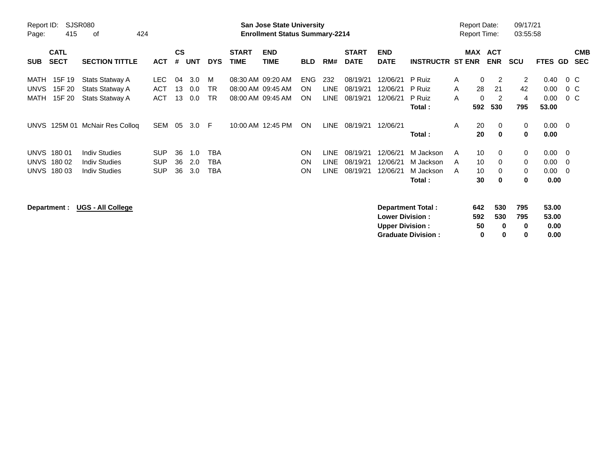| SJSR080<br>Report ID:<br>415<br>424<br>оf<br>Page:              |                                                                      |                                        | <b>San Jose State University</b><br><b>Enrollment Status Summary-2214</b> |                   |                             |                             |                                                             |                                      |                                           |                                  |                                  |                                               | <b>Report Date:</b><br>Report Time: |                                   |                                             | 09/17/21<br>03:55:58    |                               |                                        |  |
|-----------------------------------------------------------------|----------------------------------------------------------------------|----------------------------------------|---------------------------------------------------------------------------|-------------------|-----------------------------|-----------------------------|-------------------------------------------------------------|--------------------------------------|-------------------------------------------|----------------------------------|----------------------------------|-----------------------------------------------|-------------------------------------|-----------------------------------|---------------------------------------------|-------------------------|-------------------------------|----------------------------------------|--|
| <b>CATL</b><br><b>SECT</b><br><b>SUB</b>                        | <b>SECTION TITTLE</b>                                                | <b>ACT</b>                             | $\mathsf{cs}$<br>#                                                        | <b>UNT</b>        | <b>DYS</b>                  | <b>START</b><br><b>TIME</b> | <b>END</b><br><b>TIME</b>                                   | <b>BLD</b>                           | RM#                                       | <b>START</b><br><b>DATE</b>      | <b>END</b><br><b>DATE</b>        | <b>INSTRUCTR ST ENR</b>                       |                                     | MAX ACT                           | <b>ENR</b>                                  | <b>SCU</b>              | FTES GD                       | <b>CMB</b><br><b>SEC</b>               |  |
| 15F 19<br>MATH<br><b>UNVS</b><br>15F 20<br>MATH<br>15F 20       | Stats Statway A<br><b>Stats Statway A</b><br>Stats Statway A         | LEC.<br><b>ACT</b><br><b>ACT</b>       | 04<br>13<br>13                                                            | 3.0<br>0.0<br>0.0 | M<br><b>TR</b><br><b>TR</b> |                             | 08:30 AM 09:20 AM<br>08:00 AM 09:45 AM<br>08:00 AM 09:45 AM | <b>ENG</b><br><b>ON</b><br><b>ON</b> | 232<br><b>LINE</b><br><b>LINE</b>         | 08/19/21<br>08/19/21<br>08/19/21 | 12/06/21<br>12/06/21<br>12/06/21 | P Ruiz<br>P Ruiz<br>P Ruiz<br>Total :         | A<br>A<br>A                         | $\Omega$<br>28<br>$\Omega$<br>592 | 2<br>21<br>2<br>530                         | 2<br>42<br>4<br>795     | 0.40<br>0.00<br>0.00<br>53.00 | $0\,$ C<br>$0\,$ C<br>$0\,$ C          |  |
| <b>UNVS</b>                                                     | 125M 01 McNair Res Colloq                                            | SEM                                    | 05                                                                        | 3.0               | - F                         |                             | 10:00 AM 12:45 PM                                           | <b>ON</b>                            | <b>LINE</b>                               | 08/19/21                         | 12/06/21                         | Total:                                        | A                                   | 20<br>20                          | 0<br>$\mathbf{0}$                           | 0<br>0                  | $0.00 \quad 0$<br>0.00        |                                        |  |
| <b>UNVS</b><br>18001<br>UNVS<br>180 02<br><b>UNVS</b><br>180 03 | <b>Indiv Studies</b><br><b>Indiv Studies</b><br><b>Indiv Studies</b> | <b>SUP</b><br><b>SUP</b><br><b>SUP</b> | 36<br>36<br>36                                                            | 1.0<br>2.0<br>3.0 | TBA<br>TBA<br>TBA           |                             |                                                             | <b>ON</b><br>ON<br><b>ON</b>         | <b>LINE</b><br><b>LINE</b><br><b>LINE</b> | 08/19/21<br>08/19/21<br>08/19/21 | 12/06/21<br>12/06/21<br>12/06/21 | M Jackson<br>M Jackson<br>M Jackson<br>Total: | A<br>A<br>A                         | 10<br>10<br>10<br>30              | $\mathbf 0$<br>$\Omega$<br>$\mathbf 0$<br>0 | 0<br>$\Omega$<br>0<br>0 | 0.00<br>0.00<br>0.00<br>0.00  | $\overline{\phantom{0}}$<br>- 0<br>- 0 |  |
| Department :                                                    | <b>UGS - All College</b>                                             |                                        |                                                                           |                   |                             |                             |                                                             |                                      |                                           |                                  | <b>Lower Division:</b>           | Department Total:                             |                                     | 642<br>592                        | 530<br>530                                  | 795<br>795              | 53.00<br>53.00                |                                        |  |

**Upper Division :**  $\begin{array}{cccc} 50 & 0 & 0 & 0.00 \\ 0 & 0 & 0 & 0.00 \\ 0 & 0 & 0 & 0.00 \\ \end{array}$ 

**Graduate Division : 0 0 0 0.00**